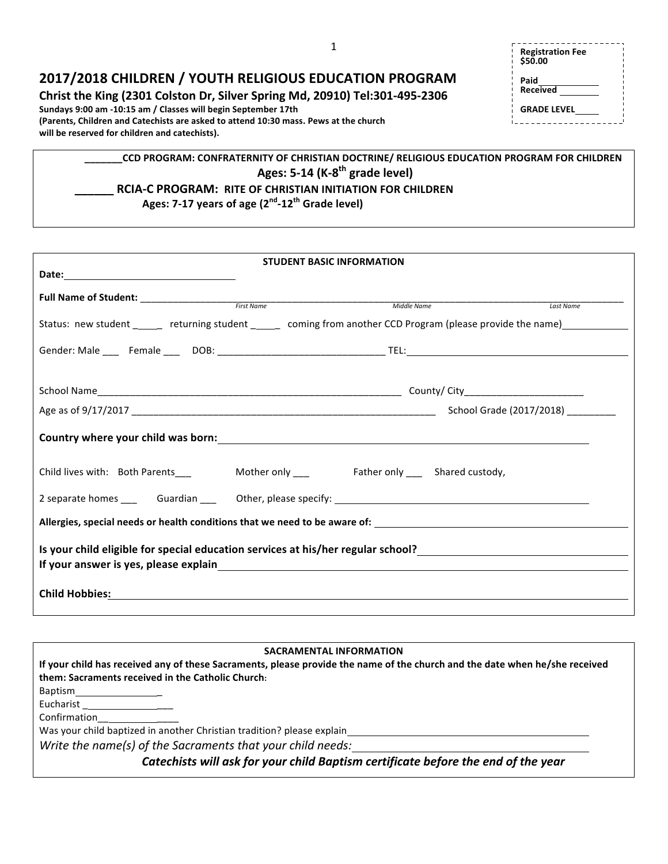**Christ the King (2301 Colston Dr, Silver Spring Md, 20910) Tel:301-495-2306** 

**Sundays 9:00 am -10:15 am / Classes will begin September 17th** (Parents, Children and Catechists are asked to attend 10:30 mass. Pews at the church will be reserved for children and catechists).

| <b>Registration Fee</b><br>\$50.00 |  |
|------------------------------------|--|
| Paid<br><b>Received</b>            |  |
| <b>GRADE LEVEL</b>                 |  |

## **\_\_\_\_\_\_\_CCD PROGRAM: CONFRATERNITY OF CHRISTIAN DOCTRINE/ RELIGIOUS EDUCATION PROGRAM FOR CHILDREN** Ages: 5-14 (K-8<sup>th</sup> grade level) **RCIA-C PROGRAM: RITE OF CHRISTIAN INITIATION FOR CHILDREN** Ages: 7-17 years of age (2<sup>nd</sup>-12<sup>th</sup> Grade level)

| <b>STUDENT BASIC INFORMATION</b>                                                                                                                                                                                                                                                                                     |  |             |           |  |
|----------------------------------------------------------------------------------------------------------------------------------------------------------------------------------------------------------------------------------------------------------------------------------------------------------------------|--|-------------|-----------|--|
|                                                                                                                                                                                                                                                                                                                      |  |             |           |  |
|                                                                                                                                                                                                                                                                                                                      |  | Middle Name | Last Name |  |
| Status: new student ______ returning student ______ coming from another CCD Program (please provide the name)__________                                                                                                                                                                                              |  |             |           |  |
|                                                                                                                                                                                                                                                                                                                      |  |             |           |  |
|                                                                                                                                                                                                                                                                                                                      |  |             |           |  |
|                                                                                                                                                                                                                                                                                                                      |  |             |           |  |
|                                                                                                                                                                                                                                                                                                                      |  |             |           |  |
|                                                                                                                                                                                                                                                                                                                      |  |             |           |  |
|                                                                                                                                                                                                                                                                                                                      |  |             |           |  |
|                                                                                                                                                                                                                                                                                                                      |  |             |           |  |
| Is your child eligible for special education services at his/her regular school?<br>Suppose the service of the service of the service of the service of the service of the service of the service<br>If your answer is yes, please explain entity and the state of your answer of your answer is yes, please explain |  |             |           |  |
|                                                                                                                                                                                                                                                                                                                      |  |             |           |  |

## **SACRAMENTAL INFORMATION**

If your child has received any of these Sacraments, please provide the name of the church and the date when he/she received them: Sacraments received in the Catholic Church: Baptism \_ Eucharist Confirmation\_\_ \_\_\_\_ Was your child baptized in another Christian tradition? please explain *Write the name(s) of the Sacraments that your child needs: Catechists will ask for your child Baptism certificate before the end of the year*